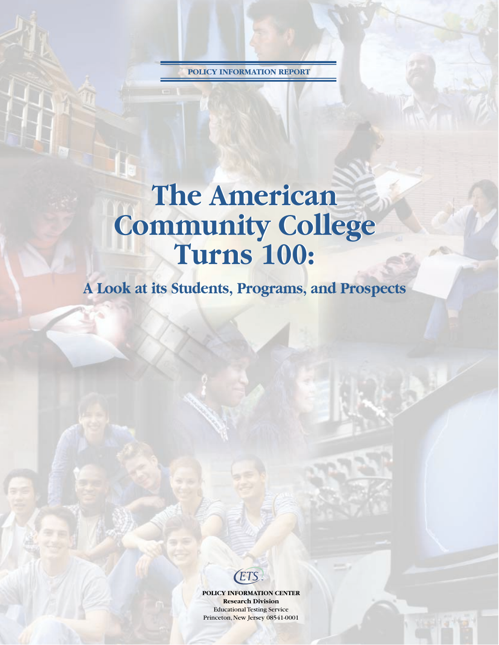**POLICY INFORMATION REPORT**

# **The American The American Community College Community College Turns 100: Turns 100:**

**A Look at its Students, Programs, and Prospects**

ETS

**POLICY INFORMATION CENTER Research Division** Educational Testing Service Princeton, New Jersey 08541-0001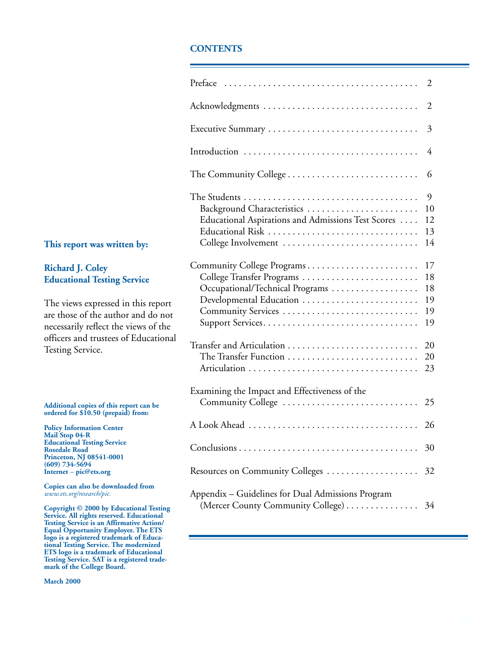### **CONTENTS**

|                                                                                                                  | 2                                |
|------------------------------------------------------------------------------------------------------------------|----------------------------------|
|                                                                                                                  | $\overline{2}$                   |
|                                                                                                                  | 3                                |
|                                                                                                                  | 4                                |
|                                                                                                                  | 6                                |
| Background Characteristics<br>Educational Aspirations and Admissions Test Scores<br>College Involvement          | 9<br>10<br>12<br>13<br>14        |
| Community College Programs<br>College Transfer Programs<br>Occupational/Technical Programs<br>Community Services | 17<br>18<br>18<br>19<br>19<br>19 |
| Transfer and Articulation<br>The Transfer Function                                                               | 20<br>20<br>23                   |
| Examining the Impact and Effectiveness of the<br>Community College                                               | 25                               |
|                                                                                                                  | 26                               |
|                                                                                                                  | 30                               |
| Resources on Community Colleges                                                                                  | 32                               |
| Appendix – Guidelines for Dual Admissions Program<br>(Mercer County Community College)                           | 34                               |

### **This report was written by:**

### **Richard J. Coley Educational Testing Service**

The views expressed in this report are those of the author and do not necessarily reflect the views of the officers and trustees of Educational Testing Service.

#### **Additional copies of this report can be ordered for \$10.50 (prepaid) from:**

**Policy Information Center Mail Stop 04-R Educational Testing Service Rosedale Road Princeton, NJ 08541-0001 (609) 734-5694 Internet** – **pic@ets.org**

**Copies can also be downloaded from** *www.ets.org/research/pic.*

**Copyright © 2000 by Educational Testing Service. All rights reserved. Educational Testing Service is an Affirmative Action/ Equal Opportunity Employer. The ETS logo is a registered trademark of Educational Testing Service. The modernized ETS logo is a trademark of Educational Testing Service. SAT is a registered trademark of the College Board.**

**March 2000**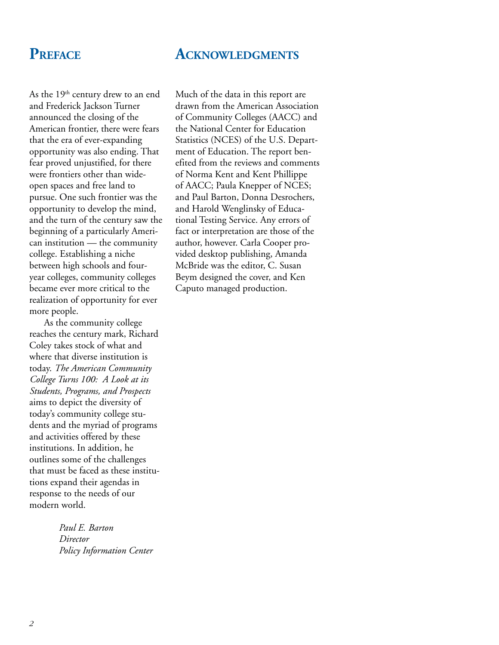### **ACKNOWLEDGMENTS**

### **PREFACE**

As the 19<sup>th</sup> century drew to an end and Frederick Jackson Turner announced the closing of the American frontier, there were fears that the era of ever-expanding opportunity was also ending. That fear proved unjustified, for there were frontiers other than wideopen spaces and free land to pursue. One such frontier was the opportunity to develop the mind, and the turn of the century saw the beginning of a particularly American institution — the community college. Establishing a niche between high schools and fouryear colleges, community colleges became ever more critical to the realization of opportunity for ever more people.

As the community college reaches the century mark, Richard Coley takes stock of what and where that diverse institution is today. *The American Community College Turns 100: A Look at its Students, Programs, and Prospects* aims to depict the diversity of today's community college students and the myriad of programs and activities offered by these institutions. In addition, he outlines some of the challenges that must be faced as these institutions expand their agendas in response to the needs of our modern world.

> *Paul E. Barton Director Policy Information Center*

Much of the data in this report are drawn from the American Association of Community Colleges (AACC) and the National Center for Education Statistics (NCES) of the U.S. Department of Education. The report benefited from the reviews and comments of Norma Kent and Kent Phillippe of AACC; Paula Knepper of NCES; and Paul Barton, Donna Desrochers, and Harold Wenglinsky of Educational Testing Service. Any errors of fact or interpretation are those of the author, however. Carla Cooper provided desktop publishing, Amanda McBride was the editor, C. Susan Beym designed the cover, and Ken Caputo managed production.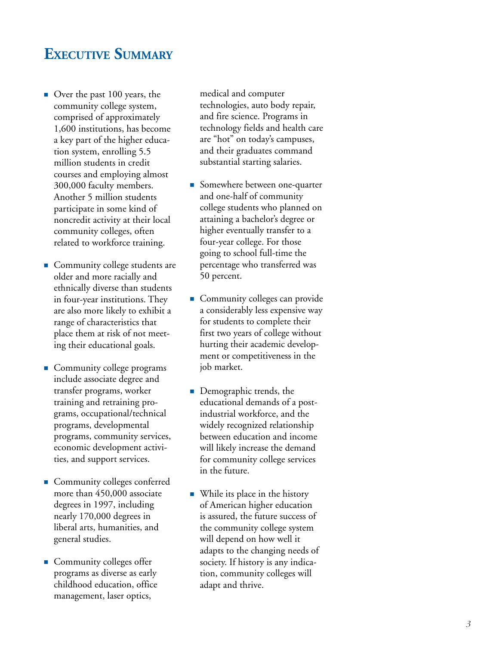## **EXECUTIVE SUMMARY**

- Over the past 100 years, the community college system, comprised of approximately 1,600 institutions, has become a key part of the higher education system, enrolling 5.5 million students in credit courses and employing almost 300,000 faculty members. Another 5 million students participate in some kind of noncredit activity at their local community colleges, often related to workforce training.
- Community college students are older and more racially and ethnically diverse than students in four-year institutions. They are also more likely to exhibit a range of characteristics that place them at risk of not meeting their educational goals.
- **Community college programs** include associate degree and transfer programs, worker training and retraining programs, occupational/technical programs, developmental programs, community services, economic development activities, and support services.
- Community colleges conferred more than 450,000 associate degrees in 1997, including nearly 170,000 degrees in liberal arts, humanities, and general studies.
- Community colleges offer programs as diverse as early childhood education, office management, laser optics,

medical and computer technologies, auto body repair, and fire science. Programs in technology fields and health care are "hot" on today's campuses, and their graduates command substantial starting salaries.

- Somewhere between one-quarter and one-half of community college students who planned on attaining a bachelor's degree or higher eventually transfer to a four-year college. For those going to school full-time the percentage who transferred was 50 percent.
- **Community colleges can provide** a considerably less expensive way for students to complete their first two years of college without hurting their academic development or competitiveness in the job market.
- Demographic trends, the educational demands of a postindustrial workforce, and the widely recognized relationship between education and income will likely increase the demand for community college services in the future.
- While its place in the history of American higher education is assured, the future success of the community college system will depend on how well it adapts to the changing needs of society. If history is any indication, community colleges will adapt and thrive.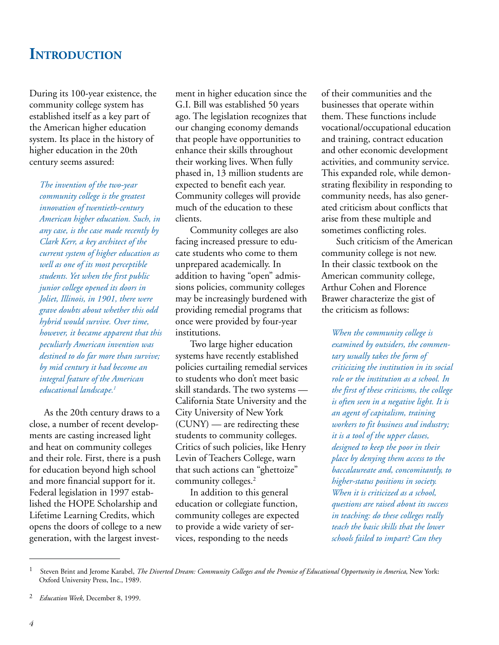## **INTRODUCTION**

During its 100-year existence, the community college system has established itself as a key part of the American higher education system. Its place in the history of higher education in the 20th century seems assured:

*The invention of the two-year community college is the greatest innovation of twentieth-century American higher education. Such, in any case, is the case made recently by Clark Kerr, a key architect of the current system of higher education as well as one of its most perceptible students. Yet when the first public junior college opened its doors in Joliet, Illinois, in 1901, there were grave doubts about whether this odd hybrid would survive. Over time, however, it became apparent that this peculiarly American invention was destined to do far more than survive; by mid century it had become an integral feature of the American educational landscape.1*

As the 20th century draws to a close, a number of recent developments are casting increased light and heat on community colleges and their role. First, there is a push for education beyond high school and more financial support for it. Federal legislation in 1997 established the HOPE Scholarship and Lifetime Learning Credits, which opens the doors of college to a new generation, with the largest invest-

ment in higher education since the G.I. Bill was established 50 years ago. The legislation recognizes that our changing economy demands that people have opportunities to enhance their skills throughout their working lives. When fully phased in, 13 million students are expected to benefit each year. Community colleges will provide much of the education to these clients.

Community colleges are also facing increased pressure to educate students who come to them unprepared academically. In addition to having "open" admissions policies, community colleges may be increasingly burdened with providing remedial programs that once were provided by four-year institutions.

Two large higher education systems have recently established policies curtailing remedial services to students who don't meet basic skill standards. The two systems — California State University and the City University of New York (CUNY) — are redirecting these students to community colleges. Critics of such policies, like Henry Levin of Teachers College, warn that such actions can "ghettoize" community colleges.<sup>2</sup>

In addition to this general education or collegiate function, community colleges are expected to provide a wide variety of services, responding to the needs

of their communities and the businesses that operate within them. These functions include vocational/occupational education and training, contract education and other economic development activities, and community service. This expanded role, while demonstrating flexibility in responding to community needs, has also generated criticism about conflicts that arise from these multiple and sometimes conflicting roles.

Such criticism of the American community college is not new. In their classic textbook on the American community college, Arthur Cohen and Florence Brawer characterize the gist of the criticism as follows:

*When the community college is examined by outsiders, the commentary usually takes the form of criticizing the institution in its social role or the institution as a school. In the first of these criticisms, the college is often seen in a negative light. It is an agent of capitalism, training workers to fit business and industry; it is a tool of the upper classes, designed to keep the poor in their place by denying them access to the baccalaureate and, concomitantly, to higher-status positions in society. When it is criticized as a school, questions are raised about its success in teaching: do these colleges really teach the basic skills that the lower schools failed to impart? Can they*

<sup>1</sup> Steven Brint and Jerome Karabel, *The Diverted Dream: Community Colleges and the Promise of Educational Opportunity in America*, New York: Oxford University Press, Inc., 1989.

<sup>2</sup> *Education Week*, December 8, 1999.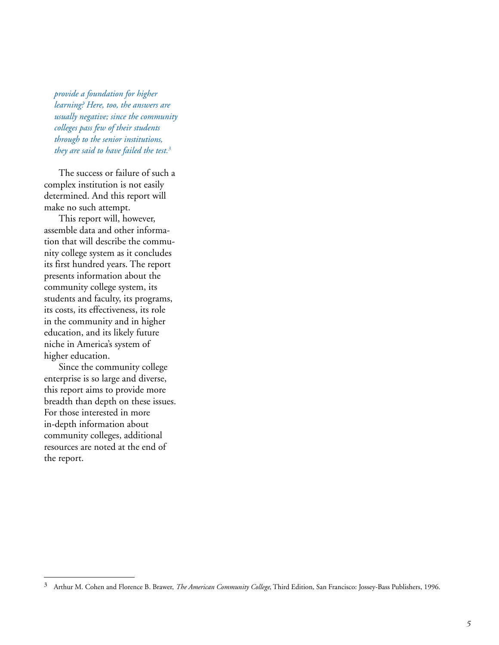*provide a foundation for higher learning? Here, too, the answers are usually negative; since the community colleges pass few of their students through to the senior institutions, they are said to have failed the test.3*

The success or failure of such a complex institution is not easily determined. And this report will make no such attempt.

This report will, however, assemble data and other information that will describe the community college system as it concludes its first hundred years. The report presents information about the community college system, its students and faculty, its programs, its costs, its effectiveness, its role in the community and in higher education, and its likely future niche in America's system of higher education.

Since the community college enterprise is so large and diverse, this report aims to provide more breadth than depth on these issues. For those interested in more in-depth information about community colleges, additional resources are noted at the end of the report.

<sup>3</sup> Arthur M. Cohen and Florence B. Brawer, *The American Community College*, Third Edition, San Francisco: Jossey-Bass Publishers, 1996.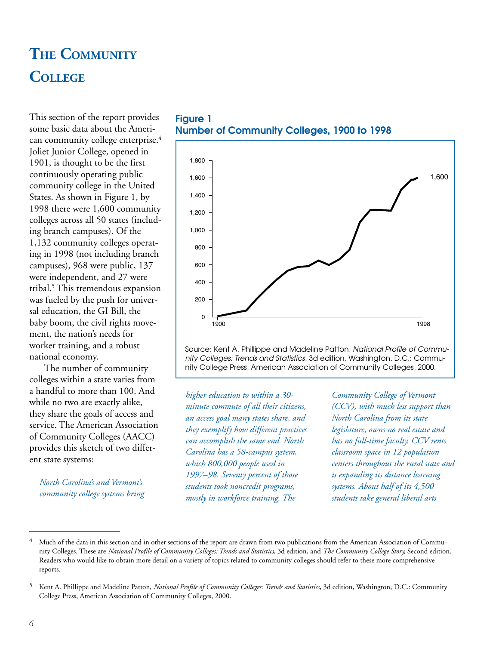## **THE COMMUNITY COLLEGE**

This section of the report provides some basic data about the American community college enterprise.<sup>4</sup> Joliet Junior College, opened in 1901, is thought to be the first continuously operating public community college in the United States. As shown in Figure 1, by 1998 there were 1,600 community colleges across all 50 states (including branch campuses). Of the 1,132 community colleges operating in 1998 (not including branch campuses), 968 were public, 137 were independent, and 27 were tribal.5 This tremendous expansion was fueled by the push for universal education, the GI Bill, the baby boom, the civil rights movement, the nation's needs for worker training, and a robust national economy.

The number of community colleges within a state varies from a handful to more than 100. And while no two are exactly alike, they share the goals of access and service. The American Association of Community Colleges (AACC) provides this sketch of two different state systems:

*North Carolina's and Vermont's community college systems bring*





Source: Kent A. Phillippe and Madeline Patton, National Profile of Community Colleges: Trends and Statistics, 3d edition, Washington, D.C.: Community College Press, American Association of Community Colleges, 2000.

*higher education to within a 30 minute commute of all their citizens, an access goal many states share, and they exemplify how different practices can accomplish the same end. North Carolina has a 58-campus system, which 800,000 people used in 1997*–*98. Seventy percent of those students took noncredit programs, mostly in workforce training. The*

*Community College of Vermont (CCV), with much less support than North Carolina from its state legislature, owns no real estate and has no full-time faculty. CCV rents classroom space in 12 population centers throughout the rural state and is expanding its distance learning systems. About half of its 4,500 students take general liberal arts*

<sup>&</sup>lt;sup>4</sup> Much of the data in this section and in other sections of the report are drawn from two publications from the American Association of Community Colleges. These are *National Profile of Community Colleges: Trends and Statistics*, 3d edition, and *The Community College Story,* Second edition. Readers who would like to obtain more detail on a variety of topics related to community colleges should refer to these more comprehensive reports.

<sup>5</sup> Kent A. Phillippe and Madeline Patton, *National Profile of Community Colleges: Trends and Statistics*, 3d edition, Washington, D.C.: Community College Press, American Association of Community Colleges, 2000.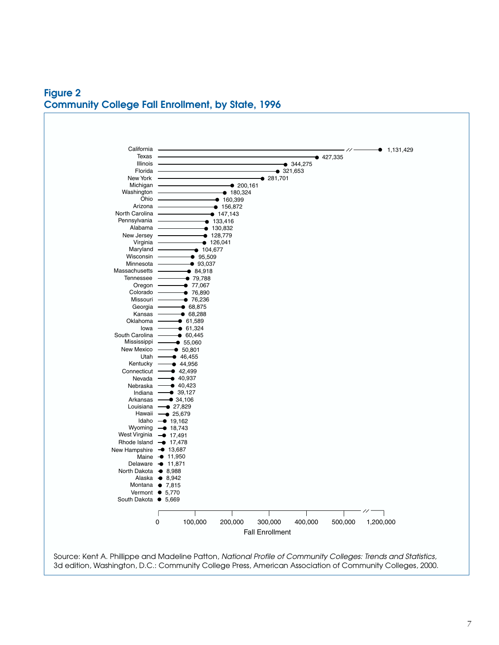**Figure 2 Community College Fall Enrollment, by State, 1996**



3d edition, Washington, D.C.: Community College Press, American Association of Community Colleges, 2000.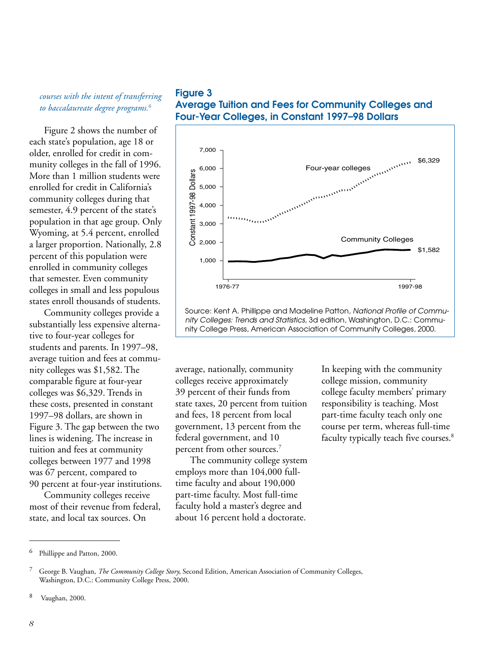### *courses with the intent of transferring to baccalaureate degree programs.6*

Figure 2 shows the number of each state's population, age 18 or older, enrolled for credit in community colleges in the fall of 1996. More than 1 million students were enrolled for credit in California's community colleges during that semester, 4.9 percent of the state's population in that age group. Only Wyoming, at 5.4 percent, enrolled a larger proportion. Nationally, 2.8 percent of this population were enrolled in community colleges that semester. Even community colleges in small and less populous states enroll thousands of students.

Community colleges provide a substantially less expensive alternative to four-year colleges for students and parents. In 1997–98, average tuition and fees at community colleges was \$1,582. The comparable figure at four-year colleges was \$6,329. Trends in these costs, presented in constant 1997–98 dollars, are shown in Figure 3. The gap between the two lines is widening. The increase in tuition and fees at community colleges between 1977 and 1998 was 67 percent, compared to 90 percent at four-year institutions.

Community colleges receive most of their revenue from federal, state, and local tax sources. On





Source: Kent A. Phillippe and Madeline Patton, National Profile of Community Colleges: Trends and Statistics, 3d edition, Washington, D.C.: Community College Press, American Association of Community Colleges, 2000.

average, nationally, community colleges receive approximately 39 percent of their funds from state taxes, 20 percent from tuition and fees, 18 percent from local government, 13 percent from the federal government, and 10 percent from other sources.7

The community college system employs more than 104,000 fulltime faculty and about 190,000 part-time faculty. Most full-time faculty hold a master's degree and about 16 percent hold a doctorate.

In keeping with the community college mission, community college faculty members' primary responsibility is teaching. Most part-time faculty teach only one course per term, whereas full-time faculty typically teach five courses.<sup>8</sup>

<sup>6</sup> Phillippe and Patton, 2000.

<sup>7</sup> George B. Vaughan, *The Community College Story*, Second Edition, American Association of Community Colleges, Washington, D.C.: Community College Press, 2000.

<sup>8</sup> Vaughan, 2000.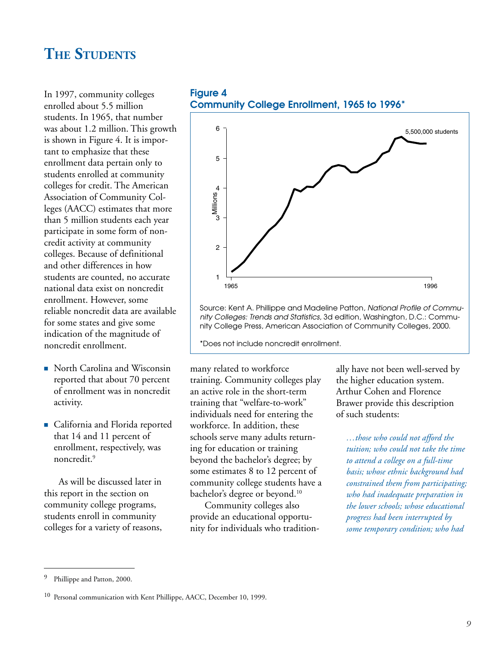## **THE STUDENTS**

In 1997, community colleges enrolled about 5.5 million students. In 1965, that number was about 1.2 million. This growth is shown in Figure 4. It is important to emphasize that these enrollment data pertain only to students enrolled at community colleges for credit. The American Association of Community Colleges (AACC) estimates that more than 5 million students each year participate in some form of noncredit activity at community colleges. Because of definitional and other differences in how students are counted, no accurate national data exist on noncredit enrollment. However, some reliable noncredit data are available for some states and give some indication of the magnitude of noncredit enrollment.

- North Carolina and Wisconsin reported that about 70 percent of enrollment was in noncredit activity.
- **California and Florida reported** that 14 and 11 percent of enrollment, respectively, was noncredit.9

As will be discussed later in this report in the section on community college programs, students enroll in community colleges for a variety of reasons,

**Figure 4 Community College Enrollment, 1965 to 1996\***



Source: Kent A. Phillippe and Madeline Patton, National Profile of Community Colleges: Trends and Statistics, 3d edition, Washington, D.C.: Community College Press, American Association of Community Colleges, 2000.

\*Does not include noncredit enrollment.

many related to workforce training. Community colleges play an active role in the short-term training that "welfare-to-work" individuals need for entering the workforce. In addition, these schools serve many adults returning for education or training beyond the bachelor's degree; by some estimates 8 to 12 percent of community college students have a bachelor's degree or beyond.<sup>10</sup>

Community colleges also provide an educational opportunity for individuals who traditionally have not been well-served by the higher education system. Arthur Cohen and Florence Brawer provide this description of such students:

*…those who could not afford the tuition; who could not take the time to attend a college on a full-time basis; whose ethnic background had constrained them from participating; who had inadequate preparation in the lower schools; whose educational progress had been interrupted by some temporary condition; who had*

Phillippe and Patton, 2000.

<sup>&</sup>lt;sup>10</sup> Personal communication with Kent Phillippe, AACC, December 10, 1999.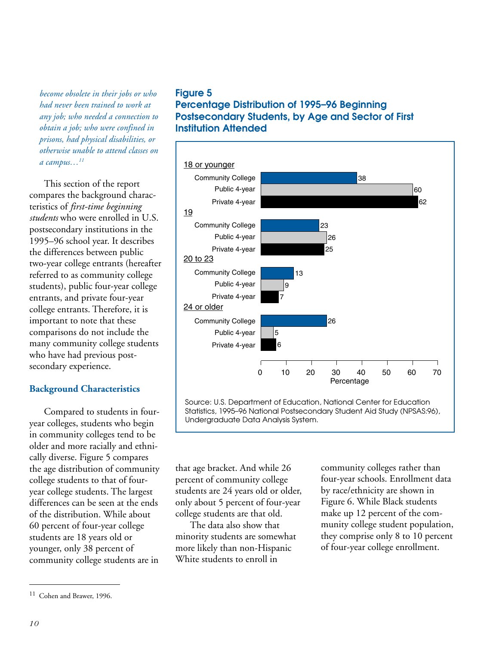*become obsolete in their jobs or who had never been trained to work at any job; who needed a connection to obtain a job; who were confined in prisons, had physical disabilities, or otherwise unable to attend classes on a campus…11*

This section of the report compares the background characteristics of *first-time beginning students* who were enrolled in U.S. postsecondary institutions in the 1995–96 school year. It describes the differences between public two-year college entrants (hereafter referred to as community college students), public four-year college entrants, and private four-year college entrants. Therefore, it is important to note that these comparisons do not include the many community college students who have had previous postsecondary experience.

### **Background Characteristics**

Compared to students in fouryear colleges, students who begin in community colleges tend to be older and more racially and ethnically diverse. Figure 5 compares the age distribution of community college students to that of fouryear college students. The largest differences can be seen at the ends of the distribution. While about 60 percent of four-year college students are 18 years old or younger, only 38 percent of community college students are in

### **Figure 5**

**Percentage Distribution of 1995–96 Beginning Postsecondary Students, by Age and Sector of First Institution Attended**



Source: U.S. Department of Education, National Center for Education Statistics, 1995–96 National Postsecondary Student Aid Study (NPSAS:96), Undergraduate Data Analysis System.

that age bracket. And while 26 percent of community college students are 24 years old or older, only about 5 percent of four-year college students are that old.

The data also show that minority students are somewhat more likely than non-Hispanic White students to enroll in

community colleges rather than four-year schools. Enrollment data by race/ethnicity are shown in Figure 6. While Black students make up 12 percent of the community college student population, they comprise only 8 to 10 percent of four-year college enrollment.

<sup>11</sup> Cohen and Brawer, 1996.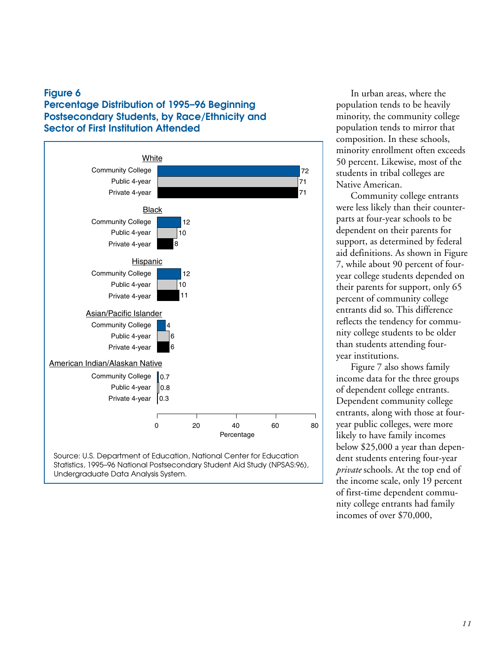### **Figure 6 Percentage Distribution of 1995–96 Beginning Postsecondary Students, by Race/Ethnicity and Sector of First Institution Attended**



Source: U.S. Department of Education, National Center for Education Statistics, 1995–96 National Postsecondary Student Aid Study (NPSAS:96), Undergraduate Data Analysis System.

In urban areas, where the population tends to be heavily minority, the community college population tends to mirror that composition. In these schools, minority enrollment often exceeds 50 percent. Likewise, most of the students in tribal colleges are Native American.

Community college entrants were less likely than their counterparts at four-year schools to be dependent on their parents for support, as determined by federal aid definitions. As shown in Figure 7, while about 90 percent of fouryear college students depended on their parents for support, only 65 percent of community college entrants did so. This difference reflects the tendency for community college students to be older than students attending fouryear institutions.

Figure 7 also shows family income data for the three groups of dependent college entrants. Dependent community college entrants, along with those at fouryear public colleges, were more likely to have family incomes below \$25,000 a year than dependent students entering four-year *private* schools. At the top end of the income scale, only 19 percent of first-time dependent community college entrants had family incomes of over \$70,000,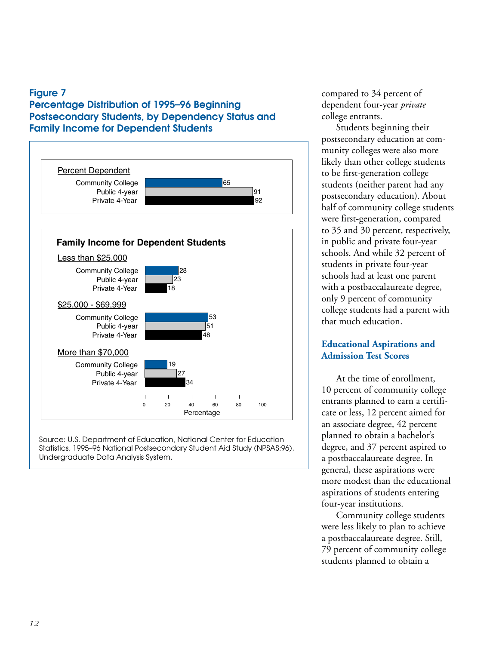### **Figure 7**

### **Percentage Distribution of 1995–96 Beginning Postsecondary Students, by Dependency Status and Family Income for Dependent Students**



Source: U.S. Department of Education, National Center for Education Statistics, 1995–96 National Postsecondary Student Aid Study (NPSAS:96), Undergraduate Data Analysis System.

compared to 34 percent of dependent four-year *private* college entrants.

Students beginning their postsecondary education at community colleges were also more likely than other college students to be first-generation college students (neither parent had any postsecondary education). About half of community college students were first-generation, compared to 35 and 30 percent, respectively, in public and private four-year schools. And while 32 percent of students in private four-year schools had at least one parent with a postbaccalaureate degree, only 9 percent of community college students had a parent with that much education.

### **Educational Aspirations and Admission Test Scores**

At the time of enrollment, 10 percent of community college entrants planned to earn a certificate or less, 12 percent aimed for an associate degree, 42 percent planned to obtain a bachelor's degree, and 37 percent aspired to a postbaccalaureate degree. In general, these aspirations were more modest than the educational aspirations of students entering four-year institutions.

Community college students were less likely to plan to achieve a postbaccalaureate degree. Still, 79 percent of community college students planned to obtain a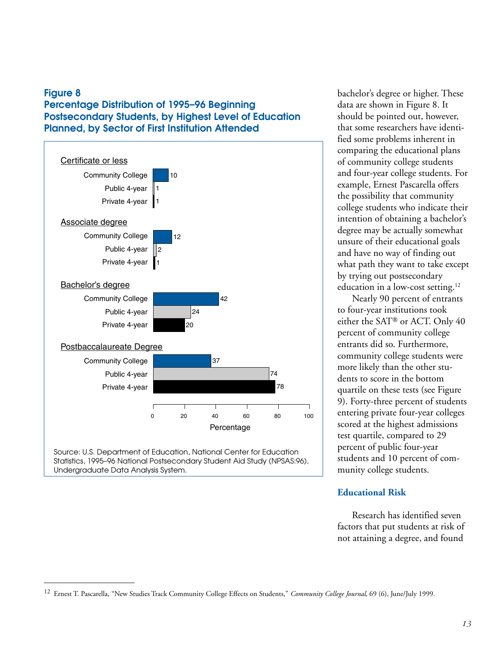### **Figure 8 Percentage Distribution of 1995–96 Beginning Postsecondary Students, by Highest Level of Education Planned, by Sector of First Institution Attended**



Undergraduate Data Analysis System.

bachelor's degree or higher. These data are shown in Figure 8. It should be pointed out, however, that some researchers have identified some problems inherent in comparing the educational plans of community college students and four-year college students. For example, Ernest Pascarella offers the possibility that community college students who indicate their intention of obtaining a bachelor's degree may be actually somewhat unsure of their educational goals and have no way of finding out what path they want to take except by trying out postsecondary education in a low-cost setting.<sup>12</sup>

Nearly 90 percent of entrants to four-year institutions took either the SAT® or ACT. Only  $40$ percent of community college entrants did so. Furthermore, community college students were more likely than the other students to score in the bottom quartile on these tests (see Figure 9). Forty-three percent of students entering private four-year colleges scored at the highest admissions test quartile, compared to 29 percent of public four-year students and 10 percent of community college students.

### **Educational Risk**

Research has identified seven factors that put students at risk of not attaining a degree, and found

<sup>12</sup> Ernest T. Pascarella, "New Studies Track Community College Effects on Students," *Community College Journal*, 69 (6), June/July 1999.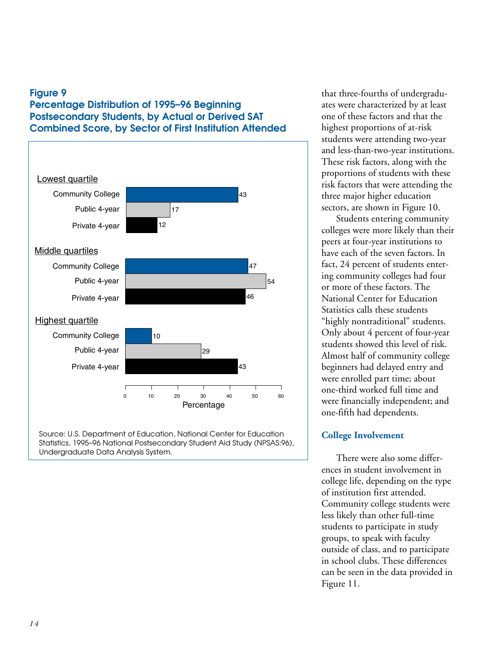### **Figure 9 Percentage Distribution of 1995–96 Beginning Postsecondary Students, by Actual or Derived SAT Combined Score, by Sector of First Institution Attended**



Source: U.S. Department of Education, National Center for Education Statistics, 1995–96 National Postsecondary Student Aid Study (NPSAS:96), Undergraduate Data Analysis System.

that three-fourths of undergraduates were characterized by at least one of these factors and that the highest proportions of at-risk students were attending two-year and less-than-two-year institutions. These risk factors, along with the proportions of students with these risk factors that were attending the three major higher education sectors, are shown in Figure 10.

Students entering community colleges were more likely than their peers at four-year institutions to have each of the seven factors. In fact, 24 percent of students entering community colleges had four or more of these factors. The National Center for Education Statistics calls these students "highly nontraditional" students. Only about 4 percent of four-year students showed this level of risk. Almost half of community college beginners had delayed entry and were enrolled part time; about one-third worked full time and were financially independent; and one-fifth had dependents.

### **College Involvement**

There were also some differences in student involvement in college life, depending on the type of institution first attended. Community college students were less likely than other full-time students to participate in study groups, to speak with faculty outside of class, and to participate in school clubs. These differences can be seen in the data provided in Figure 11.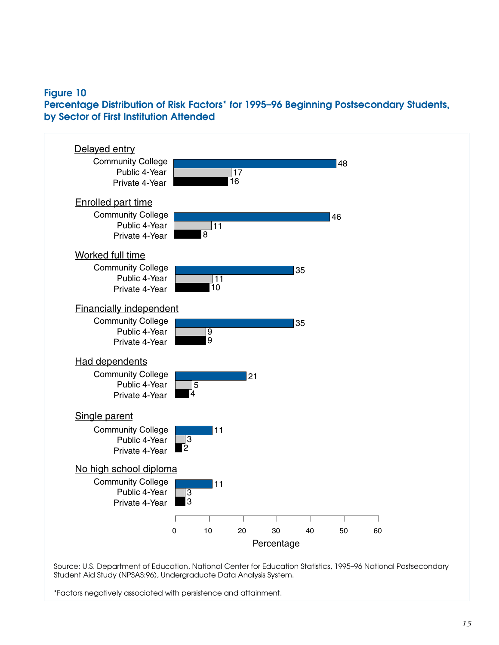### **Figure 10**

**Percentage Distribution of Risk Factors\* for 1995–96 Beginning Postsecondary Students, by Sector of First Institution Attended**



\*Factors negatively associated with persistence and attainment.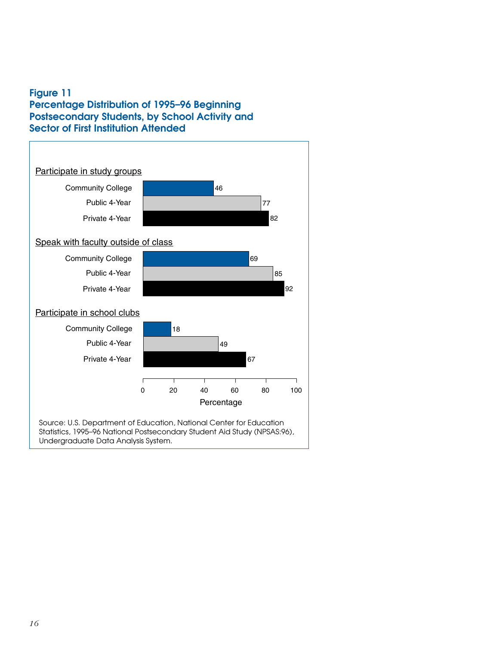### **Figure 11 Percentage Distribution of 1995–96 Beginning Postsecondary Students, by School Activity and Sector of First Institution Attended**

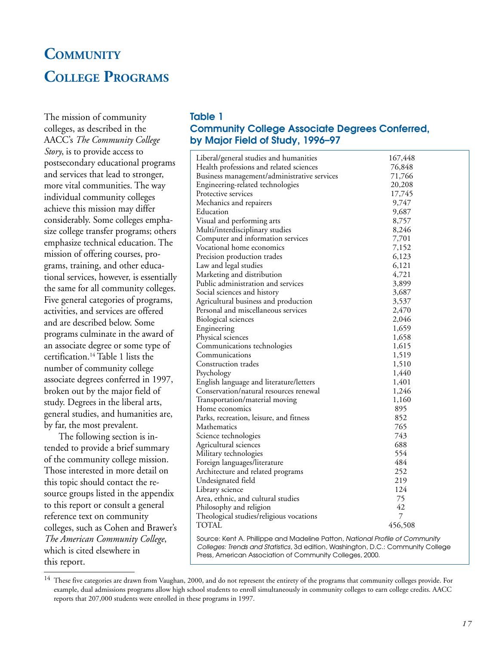## **COMMUNITY COLLEGE PROGRAMS**

The mission of community colleges, as described in the AACC's *The Community College Story*, is to provide access to postsecondary educational programs and services that lead to stronger, more vital communities. The way individual community colleges achieve this mission may differ considerably. Some colleges emphasize college transfer programs; others emphasize technical education. The mission of offering courses, programs, training, and other educational services, however, is essentially the same for all community colleges. Five general categories of programs, activities, and services are offered and are described below. Some programs culminate in the award of an associate degree or some type of certification.14 Table 1 lists the number of community college associate degrees conferred in 1997, broken out by the major field of study. Degrees in the liberal arts, general studies, and humanities are, by far, the most prevalent.

The following section is intended to provide a brief summary of the community college mission. Those interested in more detail on this topic should contact the resource groups listed in the appendix to this report or consult a general reference text on community colleges, such as Cohen and Brawer's *The American Community College*, which is cited elsewhere in this report.

### **Table 1 Community College Associate Degrees Conferred, by Major Field of Study, 1996–97**

| Liberal/general studies and humanities                                                                                                                                                                                       | 167,448 |  |
|------------------------------------------------------------------------------------------------------------------------------------------------------------------------------------------------------------------------------|---------|--|
| Health professions and related sciences                                                                                                                                                                                      | 76,848  |  |
| Business management/administrative services                                                                                                                                                                                  | 71,766  |  |
| Engineering-related technologies                                                                                                                                                                                             | 20,208  |  |
| Protective services                                                                                                                                                                                                          | 17,745  |  |
| Mechanics and repairers                                                                                                                                                                                                      | 9,747   |  |
| Education                                                                                                                                                                                                                    | 9,687   |  |
| Visual and performing arts                                                                                                                                                                                                   | 8,757   |  |
| Multi/interdisciplinary studies                                                                                                                                                                                              | 8,246   |  |
| Computer and information services                                                                                                                                                                                            | 7,701   |  |
| Vocational home economics                                                                                                                                                                                                    | 7,152   |  |
| Precision production trades                                                                                                                                                                                                  | 6,123   |  |
| Law and legal studies                                                                                                                                                                                                        | 6,121   |  |
| Marketing and distribution                                                                                                                                                                                                   | 4,721   |  |
| Public administration and services                                                                                                                                                                                           | 3,899   |  |
| Social sciences and history                                                                                                                                                                                                  | 3,687   |  |
| Agricultural business and production                                                                                                                                                                                         | 3,537   |  |
| Personal and miscellaneous services                                                                                                                                                                                          | 2,470   |  |
| <b>Biological sciences</b>                                                                                                                                                                                                   | 2,046   |  |
| Engineering                                                                                                                                                                                                                  | 1,659   |  |
| Physical sciences                                                                                                                                                                                                            | 1,658   |  |
| Communications technologies                                                                                                                                                                                                  | 1,615   |  |
| Communications                                                                                                                                                                                                               | 1,519   |  |
| Construction trades                                                                                                                                                                                                          | 1,510   |  |
| Psychology                                                                                                                                                                                                                   | 1,440   |  |
| English language and literature/letters                                                                                                                                                                                      | 1,401   |  |
| Conservation/natural resources renewal                                                                                                                                                                                       | 1,246   |  |
| Transportation/material moving                                                                                                                                                                                               | 1,160   |  |
| Home economics                                                                                                                                                                                                               | 895     |  |
| Parks, recreation, leisure, and fitness                                                                                                                                                                                      | 852     |  |
| Mathematics                                                                                                                                                                                                                  | 765     |  |
|                                                                                                                                                                                                                              | 743     |  |
| Science technologies                                                                                                                                                                                                         | 688     |  |
| Agricultural sciences                                                                                                                                                                                                        | 554     |  |
| Military technologies                                                                                                                                                                                                        | 484     |  |
| Foreign languages/literature                                                                                                                                                                                                 |         |  |
| Architecture and related programs                                                                                                                                                                                            | 252     |  |
| Undesignated field                                                                                                                                                                                                           | 219     |  |
| Library science                                                                                                                                                                                                              | 124     |  |
| Area, ethnic, and cultural studies                                                                                                                                                                                           | 75      |  |
| Philosophy and religion                                                                                                                                                                                                      | 42      |  |
| Theological studies/religious vocations                                                                                                                                                                                      | 7       |  |
| TOTAL                                                                                                                                                                                                                        | 456,508 |  |
| Source: Kent A. Phillippe and Madeline Patton, National Profile of Community<br>Colleges: Trends and Statistics, 3d edition, Washington, D.C.: Community College<br>Press, American Association of Community Colleges, 2000. |         |  |

<sup>&</sup>lt;sup>14</sup> These five categories are drawn from Vaughan, 2000, and do not represent the entirety of the programs that community colleges provide. For example, dual admissions programs allow high school students to enroll simultaneously in community colleges to earn college credits. AACC reports that 207,000 students were enrolled in these programs in 1997.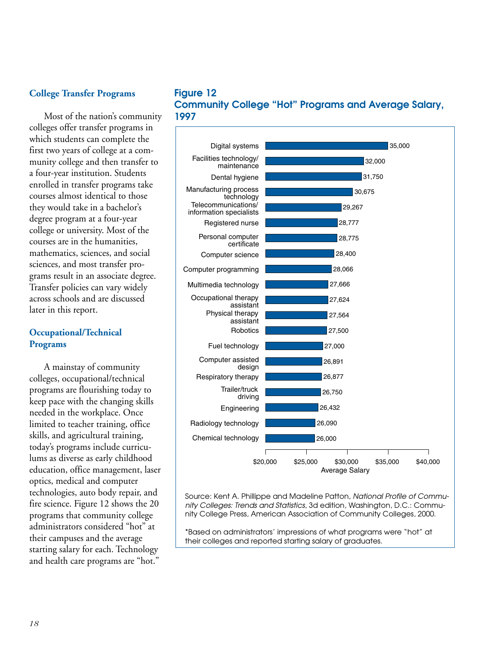### **College Transfer Programs**

Most of the nation's community colleges offer transfer programs in which students can complete the first two years of college at a community college and then transfer to a four-year institution. Students enrolled in transfer programs take courses almost identical to those they would take in a bachelor's degree program at a four-year college or university. Most of the courses are in the humanities, mathematics, sciences, and social sciences, and most transfer programs result in an associate degree. Transfer policies can vary widely across schools and are discussed later in this report.

### **Occupational/Technical Programs**

A mainstay of community colleges, occupational/technical programs are flourishing today to keep pace with the changing skills needed in the workplace. Once limited to teacher training, office skills, and agricultural training, today's programs include curriculums as diverse as early childhood education, office management, laser optics, medical and computer technologies, auto body repair, and fire science. Figure 12 shows the 20 programs that community college administrators considered "hot" at their campuses and the average starting salary for each. Technology and health care programs are "hot."

### **Figure 12 Community College "Hot" Programs and Average Salary, 1997**



Source: Kent A. Phillippe and Madeline Patton, National Profile of Community Colleges: Trends and Statistics, 3d edition, Washington, D.C.: Community College Press, American Association of Community Colleges, 2000.

\*Based on administrators' impressions of what programs were "hot" at their colleges and reported starting salary of graduates.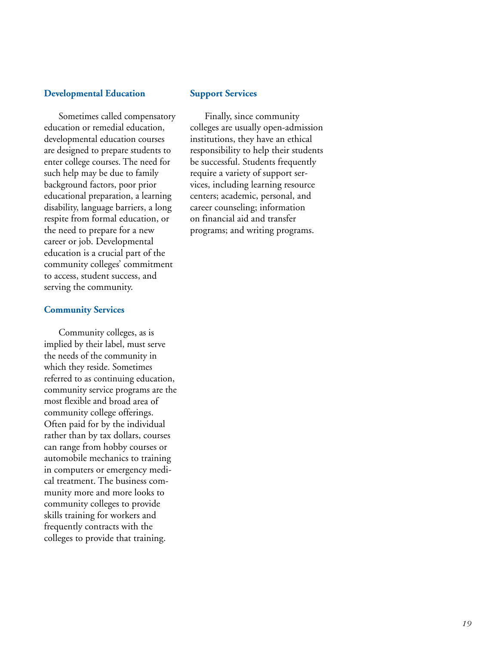### **Developmental Education**

Sometimes called compensatory education or remedial education, developmental education courses are designed to prepare students to enter college courses. The need for such help may be due to family background factors, poor prior educational preparation, a learning disability, language barriers, a long respite from formal education, or the need to prepare for a new career or job. Developmental education is a crucial part of the community colleges' commitment to access, student success, and serving the community.

### **Community Services**

Community colleges, as is implied by their label, must serve the needs of the community in which they reside. Sometimes referred to as continuing education, community service programs are the most flexible and broad area of community college offerings. Often paid for by the individual rather than by tax dollars, courses can range from hobby courses or automobile mechanics to training in computers or emergency medical treatment. The business community more and more looks to community colleges to provide skills training for workers and frequently contracts with the colleges to provide that training.

### **Support Services**

Finally, since community colleges are usually open-admission institutions, they have an ethical responsibility to help their students be successful. Students frequently require a variety of support services, including learning resource centers; academic, personal, and career counseling; information on financial aid and transfer programs; and writing programs.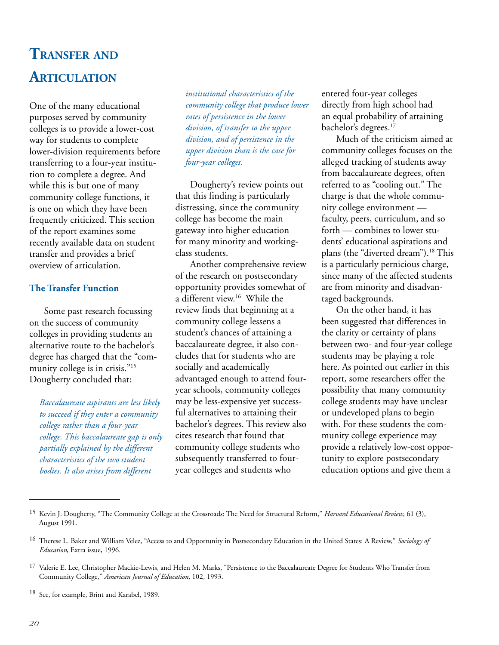## **TRANSFER AND ARTICULATION**

One of the many educational purposes served by community colleges is to provide a lower-cost way for students to complete lower-division requirements before transferring to a four-year institution to complete a degree. And while this is but one of many community college functions, it is one on which they have been frequently criticized. This section of the report examines some recently available data on student transfer and provides a brief overview of articulation.

### **The Transfer Function**

Some past research focussing on the success of community colleges in providing students an alternative route to the bachelor's degree has charged that the "community college is in crisis."<sup>15</sup> Dougherty concluded that:

*Baccalaureate aspirants are less likely to succeed if they enter a community college rather than a four-year college. This baccalaureate gap is only partially explained by the different characteristics of the two student bodies. It also arises from different*

*institutional characteristics of the community college that produce lower rates of persistence in the lower division, of transfer to the upper division, and of persistence in the upper division than is the case for four-year colleges.*

Dougherty's review points out that this finding is particularly distressing, since the community college has become the main gateway into higher education for many minority and workingclass students.

Another comprehensive review of the research on postsecondary opportunity provides somewhat of a different view.16 While the review finds that beginning at a community college lessens a student's chances of attaining a baccalaureate degree, it also concludes that for students who are socially and academically advantaged enough to attend fouryear schools, community colleges may be less-expensive yet successful alternatives to attaining their bachelor's degrees. This review also cites research that found that community college students who subsequently transferred to fouryear colleges and students who

entered four-year colleges directly from high school had an equal probability of attaining bachelor's degrees.<sup>17</sup>

Much of the criticism aimed at community colleges focuses on the alleged tracking of students away from baccalaureate degrees, often referred to as "cooling out." The charge is that the whole community college environment faculty, peers, curriculum, and so forth — combines to lower students' educational aspirations and plans (the "diverted dream").18 This is a particularly pernicious charge, since many of the affected students are from minority and disadvantaged backgrounds.

On the other hand, it has been suggested that differences in the clarity or certainty of plans between two- and four-year college students may be playing a role here. As pointed out earlier in this report, some researchers offer the possibility that many community college students may have unclear or undeveloped plans to begin with. For these students the community college experience may provide a relatively low-cost opportunity to explore postsecondary education options and give them a

<sup>15</sup> Kevin J. Dougherty, "The Community College at the Crossroads: The Need for Structural Reform," *Harvard Educational Review*, 61 (3), August 1991.

<sup>16</sup> Therese L. Baker and William Velez, "Access to and Opportunity in Postsecondary Education in the United States: A Review," *Sociology of Education*, Extra issue, 1996.

<sup>&</sup>lt;sup>17</sup> Valerie E. Lee, Christopher Mackie-Lewis, and Helen M. Marks, "Persistence to the Baccalaureate Degree for Students Who Transfer from Community College," *American Journal of Education*, 102, 1993.

<sup>18</sup> See, for example, Brint and Karabel, 1989.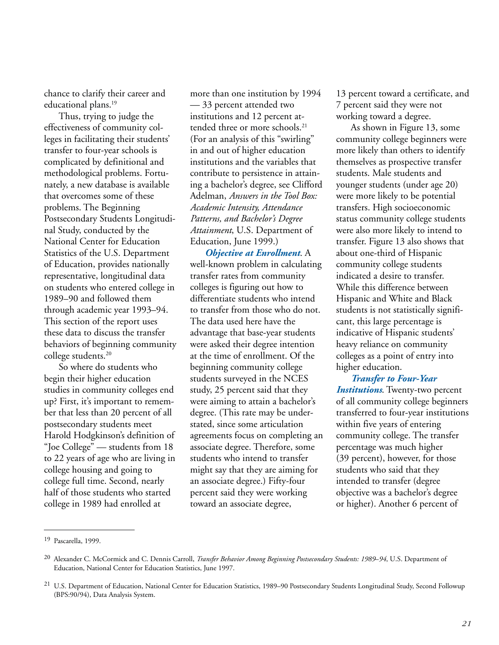chance to clarify their career and educational plans.19

Thus, trying to judge the effectiveness of community colleges in facilitating their students' transfer to four-year schools is complicated by definitional and methodological problems. Fortunately, a new database is available that overcomes some of these problems. The Beginning Postsecondary Students Longitudinal Study, conducted by the National Center for Education Statistics of the U.S. Department of Education, provides nationally representative, longitudinal data on students who entered college in 1989–90 and followed them through academic year 1993–94. This section of the report uses these data to discuss the transfer behaviors of beginning community college students.20

So where do students who begin their higher education studies in community colleges end up? First, it's important to remember that less than 20 percent of all postsecondary students meet Harold Hodgkinson's definition of "Joe College" — students from 18 to 22 years of age who are living in college housing and going to college full time. Second, nearly half of those students who started college in 1989 had enrolled at

more than one institution by 1994 — 33 percent attended two institutions and 12 percent attended three or more schools.<sup>21</sup> (For an analysis of this "swirling" in and out of higher education institutions and the variables that contribute to persistence in attaining a bachelor's degree, see Clifford Adelman, *Answers in the Tool Box: Academic Intensity, Attendance Patterns, and Bachelor's Degree Attainment*, U.S. Department of Education, June 1999.)

*Objective at Enrollment*. A well-known problem in calculating transfer rates from community colleges is figuring out how to differentiate students who intend to transfer from those who do not. The data used here have the advantage that base-year students were asked their degree intention at the time of enrollment. Of the beginning community college students surveyed in the NCES study, 25 percent said that they were aiming to attain a bachelor's degree. (This rate may be understated, since some articulation agreements focus on completing an associate degree. Therefore, some students who intend to transfer might say that they are aiming for an associate degree.) Fifty-four percent said they were working toward an associate degree,

13 percent toward a certificate, and 7 percent said they were not working toward a degree.

As shown in Figure 13, some community college beginners were more likely than others to identify themselves as prospective transfer students. Male students and younger students (under age 20) were more likely to be potential transfers. High socioeconomic status community college students were also more likely to intend to transfer. Figure 13 also shows that about one-third of Hispanic community college students indicated a desire to transfer. While this difference between Hispanic and White and Black students is not statistically significant, this large percentage is indicative of Hispanic students' heavy reliance on community colleges as a point of entry into higher education.

*Transfer to Four-Year Institutions*. Twenty-two percent of all community college beginners transferred to four-year institutions within five years of entering community college. The transfer percentage was much higher (39 percent), however, for those students who said that they intended to transfer (degree objective was a bachelor's degree or higher). Another 6 percent of

<sup>19</sup> Pascarella, 1999.

<sup>20</sup> Alexander C. McCormick and C. Dennis Carroll, *Transfer Behavior Among Beginning Postsecondary Students: 1989*–*94*, U.S. Department of Education, National Center for Education Statistics, June 1997.

<sup>&</sup>lt;sup>21</sup> U.S. Department of Education, National Center for Education Statistics, 1989–90 Postsecondary Students Longitudinal Study, Second Followup (BPS:90/94), Data Analysis System.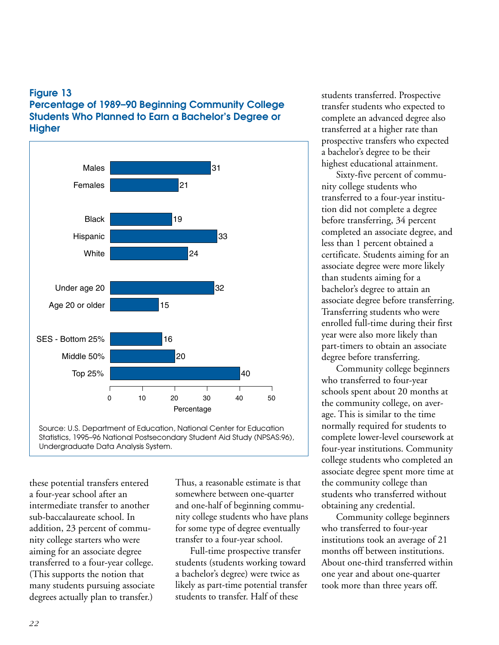### **Figure 13 Percentage of 1989–90 Beginning Community College Students Who Planned to Earn a Bachelor's Degree or Higher**





these potential transfers entered a four-year school after an intermediate transfer to another sub-baccalaureate school. In addition, 23 percent of community college starters who were aiming for an associate degree transferred to a four-year college. (This supports the notion that many students pursuing associate degrees actually plan to transfer.)

Thus, a reasonable estimate is that somewhere between one-quarter and one-half of beginning community college students who have plans for some type of degree eventually transfer to a four-year school.

Full-time prospective transfer students (students working toward a bachelor's degree) were twice as likely as part-time potential transfer students to transfer. Half of these

students transferred. Prospective transfer students who expected to complete an advanced degree also transferred at a higher rate than prospective transfers who expected a bachelor's degree to be their highest educational attainment.

Sixty-five percent of community college students who transferred to a four-year institution did not complete a degree before transferring, 34 percent completed an associate degree, and less than 1 percent obtained a certificate. Students aiming for an associate degree were more likely than students aiming for a bachelor's degree to attain an associate degree before transferring. Transferring students who were enrolled full-time during their first year were also more likely than part-timers to obtain an associate degree before transferring.

Community college beginners who transferred to four-year schools spent about 20 months at the community college, on average. This is similar to the time normally required for students to complete lower-level coursework at four-year institutions. Community college students who completed an associate degree spent more time at the community college than students who transferred without obtaining any credential.

Community college beginners who transferred to four-year institutions took an average of 21 months off between institutions. About one-third transferred within one year and about one-quarter took more than three years off.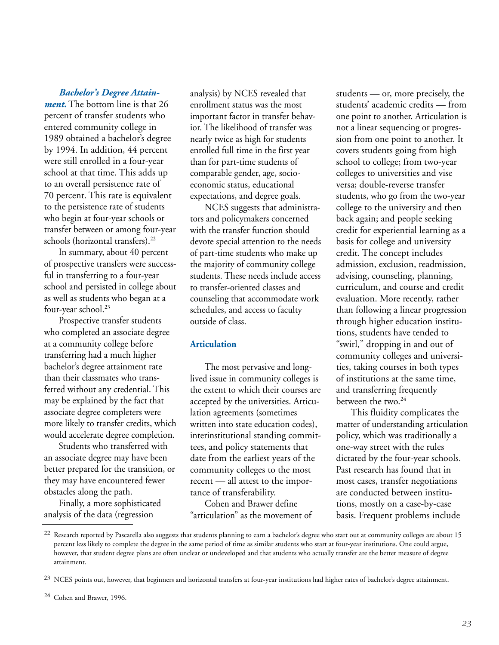### *Bachelor's Degree Attain-*

*ment.* The bottom line is that 26 percent of transfer students who entered community college in 1989 obtained a bachelor's degree by 1994. In addition, 44 percent were still enrolled in a four-year school at that time. This adds up to an overall persistence rate of 70 percent. This rate is equivalent to the persistence rate of students who begin at four-year schools or transfer between or among four-year schools (horizontal transfers).<sup>22</sup>

In summary, about 40 percent of prospective transfers were successful in transferring to a four-year school and persisted in college about as well as students who began at a four-year school.<sup>23</sup>

Prospective transfer students who completed an associate degree at a community college before transferring had a much higher bachelor's degree attainment rate than their classmates who transferred without any credential. This may be explained by the fact that associate degree completers were more likely to transfer credits, which would accelerate degree completion.

Students who transferred with an associate degree may have been better prepared for the transition, or they may have encountered fewer obstacles along the path.

Finally, a more sophisticated analysis of the data (regression

analysis) by NCES revealed that enrollment status was the most important factor in transfer behavior. The likelihood of transfer was nearly twice as high for students enrolled full time in the first year than for part-time students of comparable gender, age, socioeconomic status, educational expectations, and degree goals.

NCES suggests that administrators and policymakers concerned with the transfer function should devote special attention to the needs of part-time students who make up the majority of community college students. These needs include access to transfer-oriented classes and counseling that accommodate work schedules, and access to faculty outside of class.

### **Articulation**

The most pervasive and longlived issue in community colleges is the extent to which their courses are accepted by the universities. Articulation agreements (sometimes written into state education codes), interinstitutional standing committees, and policy statements that date from the earliest years of the community colleges to the most recent — all attest to the importance of transferability.

Cohen and Brawer define "articulation" as the movement of students — or, more precisely, the students' academic credits — from one point to another. Articulation is not a linear sequencing or progression from one point to another. It covers students going from high school to college; from two-year colleges to universities and vise versa; double-reverse transfer students, who go from the two-year college to the university and then back again; and people seeking credit for experiential learning as a basis for college and university credit. The concept includes admission, exclusion, readmission, advising, counseling, planning, curriculum, and course and credit evaluation. More recently, rather than following a linear progression through higher education institutions, students have tended to "swirl," dropping in and out of community colleges and universities, taking courses in both types of institutions at the same time, and transferring frequently between the two.<sup>24</sup>

This fluidity complicates the matter of understanding articulation policy, which was traditionally a one-way street with the rules dictated by the four-year schools. Past research has found that in most cases, transfer negotiations are conducted between institutions, mostly on a case-by-case basis. Frequent problems include

<sup>&</sup>lt;sup>22</sup> Research reported by Pascarella also suggests that students planning to earn a bachelor's degree who start out at community colleges are about 15 percent less likely to complete the degree in the same period of time as similar students who start at four-year institutions. One could argue, however, that student degree plans are often unclear or undeveloped and that students who actually transfer are the better measure of degree attainment.

<sup>&</sup>lt;sup>23</sup> NCES points out, however, that beginners and horizontal transfers at four-year institutions had higher rates of bachelor's degree attainment.

<sup>24</sup> Cohen and Brawer, 1996.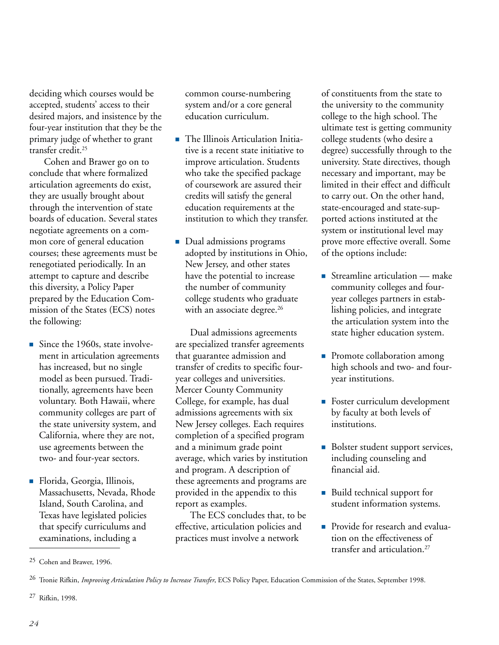deciding which courses would be accepted, students' access to their desired majors, and insistence by the four-year institution that they be the primary judge of whether to grant transfer credit.25

Cohen and Brawer go on to conclude that where formalized articulation agreements do exist, they are usually brought about through the intervention of state boards of education. Several states negotiate agreements on a common core of general education courses; these agreements must be renegotiated periodically. In an attempt to capture and describe this diversity, a Policy Paper prepared by the Education Commission of the States (ECS) notes the following:

- $\blacksquare$  Since the 1960s, state involvement in articulation agreements has increased, but no single model as been pursued. Traditionally, agreements have been voluntary. Both Hawaii, where community colleges are part of the state university system, and California, where they are not, use agreements between the two- and four-year sectors.
- Florida, Georgia, Illinois, Massachusetts, Nevada, Rhode Island, South Carolina, and Texas have legislated policies that specify curriculums and examinations, including a

common course-numbering system and/or a core general education curriculum.

- The Illinois Articulation Initiative is a recent state initiative to improve articulation. Students who take the specified package of coursework are assured their credits will satisfy the general education requirements at the institution to which they transfer.
- Dual admissions programs adopted by institutions in Ohio, New Jersey, and other states have the potential to increase the number of community college students who graduate with an associate degree.<sup>26</sup>

Dual admissions agreements are specialized transfer agreements that guarantee admission and transfer of credits to specific fouryear colleges and universities. Mercer County Community College, for example, has dual admissions agreements with six New Jersey colleges. Each requires completion of a specified program and a minimum grade point average, which varies by institution and program. A description of these agreements and programs are provided in the appendix to this report as examples.

The ECS concludes that, to be effective, articulation policies and practices must involve a network

of constituents from the state to the university to the community college to the high school. The ultimate test is getting community college students (who desire a degree) successfully through to the university. State directives, though necessary and important, may be limited in their effect and difficult to carry out. On the other hand, state-encouraged and state-supported actions instituted at the system or institutional level may prove more effective overall. Some of the options include:

- Streamline articulation  $-$  make community colleges and fouryear colleges partners in establishing policies, and integrate the articulation system into the state higher education system.
- **Promote collaboration among** high schools and two- and fouryear institutions.
- **Foster curriculum development** by faculty at both levels of institutions.
- Bolster student support services, including counseling and financial aid.
- Build technical support for student information systems.
- **Provide for research and evalua**tion on the effectiveness of transfer and articulation.27

<sup>25</sup> Cohen and Brawer, 1996.

<sup>26</sup> Tronie Rifkin, *Improving Articulation Policy to Increase Transfer*, ECS Policy Paper, Education Commission of the States, September 1998.

<sup>27</sup> Rifkin, 1998.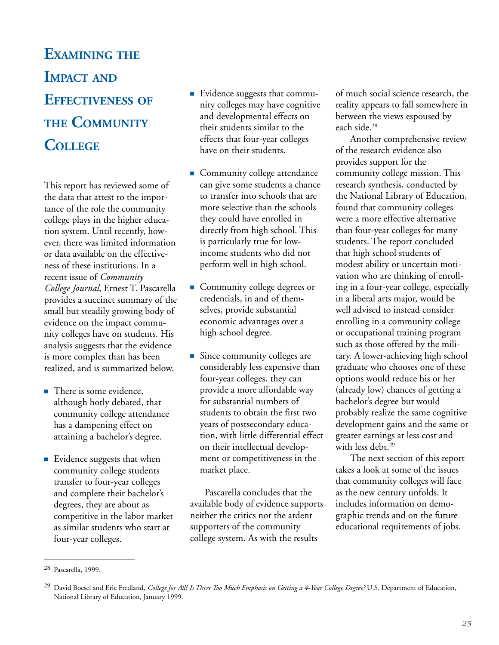## **EXAMINING THE IMPACT AND EFFECTIVENESS OF THE COMMUNITY COLLEGE**

This report has reviewed some of the data that attest to the importance of the role the community college plays in the higher education system. Until recently, however, there was limited information or data available on the effectiveness of these institutions. In a recent issue of *Community College Journal*, Ernest T. Pascarella provides a succinct summary of the small but steadily growing body of evidence on the impact community colleges have on students. His analysis suggests that the evidence is more complex than has been realized, and is summarized below.

- There is some evidence, although hotly debated, that community college attendance has a dampening effect on attaining a bachelor's degree.
- **Evidence suggests that when** community college students transfer to four-year colleges and complete their bachelor's degrees, they are about as competitive in the labor market as similar students who start at four-year colleges.
- **Evidence suggests that commu**nity colleges may have cognitive and developmental effects on their students similar to the effects that four-year colleges have on their students.
- Community college attendance can give some students a chance to transfer into schools that are more selective than the schools they could have enrolled in directly from high school. This is particularly true for lowincome students who did not perform well in high school.
- Community college degrees or credentials, in and of themselves, provide substantial economic advantages over a high school degree.
- **Since community colleges are** considerably less expensive than four-year colleges, they can provide a more affordable way for substantial numbers of students to obtain the first two years of postsecondary education, with little differential effect on their intellectual development or competitiveness in the market place.

Pascarella concludes that the available body of evidence supports neither the critics nor the ardent supporters of the community college system. As with the results

of much social science research, the reality appears to fall somewhere in between the views espoused by each side.28

Another comprehensive review of the research evidence also provides support for the community college mission. This research synthesis, conducted by the National Library of Education, found that community colleges were a more effective alternative than four-year colleges for many students. The report concluded that high school students of modest ability or uncertain motivation who are thinking of enrolling in a four-year college, especially in a liberal arts major, would be well advised to instead consider enrolling in a community college or occupational training program such as those offered by the military. A lower-achieving high school graduate who chooses one of these options would reduce his or her (already low) chances of getting a bachelor's degree but would probably realize the same cognitive development gains and the same or greater earnings at less cost and with less debt.<sup>29</sup>

The next section of this report takes a look at some of the issues that community colleges will face as the new century unfolds. It includes information on demographic trends and on the future educational requirements of jobs.

<sup>28</sup> Pascarella, 1999.

<sup>29</sup> David Boesel and Eric Fredland, *College for All? Is There Too Much Emphasis on Getting a 4-Year College Degree?* U.S. Department of Education, National Library of Education, January 1999.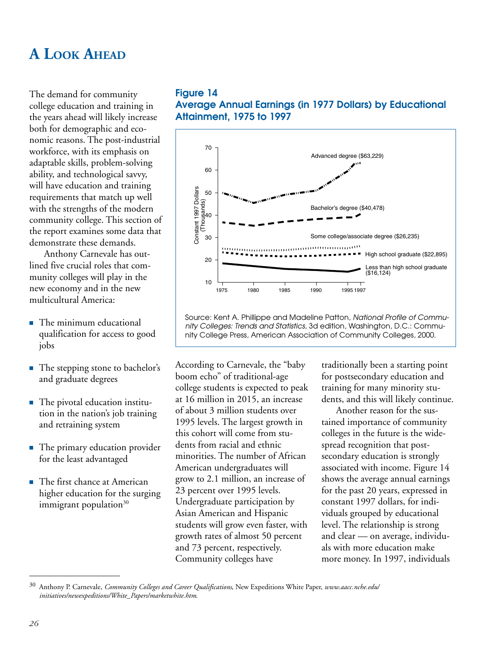## **A LOOK AHEAD**

The demand for community college education and training in the years ahead will likely increase both for demographic and economic reasons. The post-industrial workforce, with its emphasis on adaptable skills, problem-solving ability, and technological savvy, will have education and training requirements that match up well with the strengths of the modern community college. This section of the report examines some data that demonstrate these demands.

Anthony Carnevale has outlined five crucial roles that community colleges will play in the new economy and in the new multicultural America:

- The minimum educational qualification for access to good jobs
- The stepping stone to bachelor's and graduate degrees
- The pivotal education institution in the nation's job training and retraining system
- The primary education provider for the least advantaged
- The first chance at American higher education for the surging immigrant population $30$

### **Figure 14**

**Average Annual Earnings (in 1977 Dollars) by Educational Attainment, 1975 to 1997**



Source: Kent A. Phillippe and Madeline Patton, National Profile of Community Colleges: Trends and Statistics, 3d edition, Washington, D.C.: Community College Press, American Association of Community Colleges, 2000.

According to Carnevale, the "baby boom echo" of traditional-age college students is expected to peak at 16 million in 2015, an increase of about 3 million students over 1995 levels. The largest growth in this cohort will come from students from racial and ethnic minorities. The number of African American undergraduates will grow to 2.1 million, an increase of 23 percent over 1995 levels. Undergraduate participation by Asian American and Hispanic students will grow even faster, with growth rates of almost 50 percent and 73 percent, respectively. Community colleges have

traditionally been a starting point for postsecondary education and training for many minority students, and this will likely continue.

Another reason for the sustained importance of community colleges in the future is the widespread recognition that postsecondary education is strongly associated with income. Figure 14 shows the average annual earnings for the past 20 years, expressed in constant 1997 dollars, for individuals grouped by educational level. The relationship is strong and clear — on average, individuals with more education make more money. In 1997, individuals

<sup>30</sup> Anthony P. Carnevale, *Community Colleges and Career Qualifications*, New Expeditions White Paper, *www.aacc.nche.edu/ initiatives/newexpeditions/White\_Papers/marketwhite.htm*.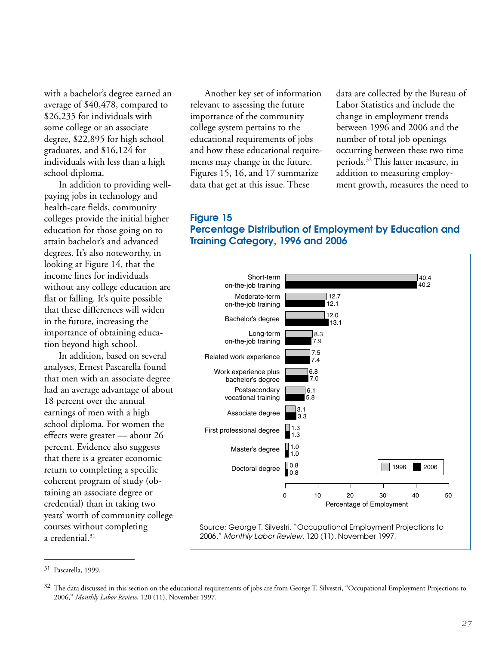with a bachelor's degree earned an average of \$40,478, compared to \$26,235 for individuals with some college or an associate degree, \$22,895 for high school graduates, and \$16,124 for individuals with less than a high school diploma.

In addition to providing wellpaying jobs in technology and health-care fields, community colleges provide the initial higher education for those going on to attain bachelor's and advanced degrees. It's also noteworthy, in looking at Figure 14, that the income lines for individuals without any college education are flat or falling. It's quite possible that these differences will widen in the future, increasing the importance of obtaining education beyond high school.

In addition, based on several analyses, Ernest Pascarella found that men with an associate degree had an average advantage of about 18 percent over the annual earnings of men with a high school diploma. For women the effects were greater — about 26 percent. Evidence also suggests that there is a greater economic return to completing a specific coherent program of study (obtaining an associate degree or credential) than in taking two years' worth of community college courses without completing a credential.<sup>31</sup>

Another key set of information relevant to assessing the future importance of the community college system pertains to the educational requirements of jobs and how these educational requirements may change in the future. Figures 15, 16, and 17 summarize data that get at this issue. These

data are collected by the Bureau of Labor Statistics and include the change in employment trends between 1996 and 2006 and the number of total job openings occurring between these two time periods.32 This latter measure, in addition to measuring employment growth, measures the need to

### **Figure 15 Percentage Distribution of Employment by Education and Training Category, 1996 and 2006**



<sup>31</sup> Pascarella, 1999.

<sup>&</sup>lt;sup>32</sup> The data discussed in this section on the educational requirements of jobs are from George T. Silvestri, "Occupational Employment Projections to 2006," *Monthly Labor Review*, 120 (11), November 1997.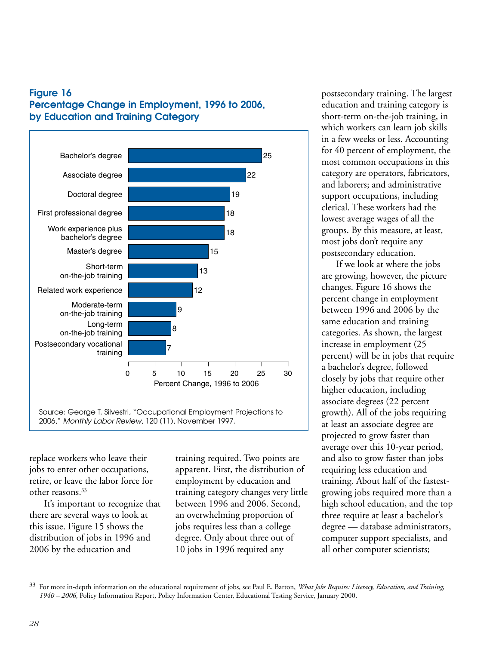



replace workers who leave their jobs to enter other occupations, retire, or leave the labor force for other reasons.<sup>33</sup>

It's important to recognize that there are several ways to look at this issue. Figure 15 shows the distribution of jobs in 1996 and 2006 by the education and

training required. Two points are apparent. First, the distribution of employment by education and training category changes very little between 1996 and 2006. Second, an overwhelming proportion of jobs requires less than a college degree. Only about three out of 10 jobs in 1996 required any

postsecondary training. The largest education and training category is short-term on-the-job training, in which workers can learn job skills in a few weeks or less. Accounting for 40 percent of employment, the most common occupations in this category are operators, fabricators, and laborers; and administrative support occupations, including clerical. These workers had the lowest average wages of all the groups. By this measure, at least, most jobs don't require any postsecondary education.

If we look at where the jobs are growing, however, the picture changes. Figure 16 shows the percent change in employment between 1996 and 2006 by the same education and training categories. As shown, the largest increase in employment (25 percent) will be in jobs that require a bachelor's degree, followed closely by jobs that require other higher education, including associate degrees (22 percent growth). All of the jobs requiring at least an associate degree are projected to grow faster than average over this 10-year period, and also to grow faster than jobs requiring less education and training. About half of the fastestgrowing jobs required more than a high school education, and the top three require at least a bachelor's degree — database administrators, computer support specialists, and all other computer scientists;

<sup>33</sup> For more in-depth information on the educational requirement of jobs, see Paul E. Barton, *What Jobs Require: Literacy, Education, and Training, 1940 – 2006*, Policy Information Report, Policy Information Center, Educational Testing Service, January 2000.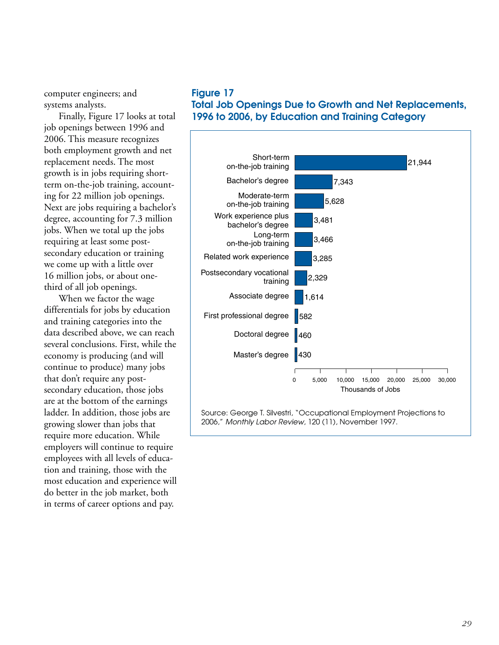computer engineers; and systems analysts.

Finally, Figure 17 looks at total job openings between 1996 and 2006. This measure recognizes both employment growth and net replacement needs. The most growth is in jobs requiring shortterm on-the-job training, accounting for 22 million job openings. Next are jobs requiring a bachelor's degree, accounting for 7.3 million jobs. When we total up the jobs requiring at least some postsecondary education or training we come up with a little over 16 million jobs, or about onethird of all job openings.

When we factor the wage differentials for jobs by education and training categories into the data described above, we can reach several conclusions. First, while the economy is producing (and will continue to produce) many jobs that don't require any postsecondary education, those jobs are at the bottom of the earnings ladder. In addition, those jobs are growing slower than jobs that require more education. While employers will continue to require employees with all levels of education and training, those with the most education and experience will do better in the job market, both in terms of career options and pay.

### **Figure 17 Total Job Openings Due to Growth and Net Replacements, 1996 to 2006, by Education and Training Category**

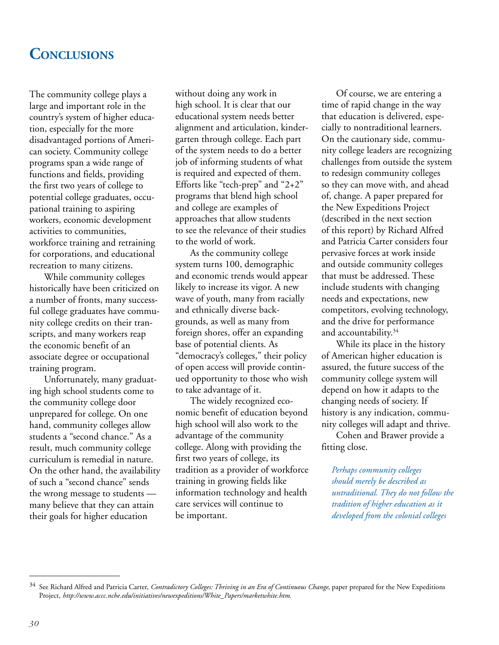## **CONCLUSIONS**

The community college plays a large and important role in the country's system of higher education, especially for the more disadvantaged portions of American society. Community college programs span a wide range of functions and fields, providing the first two years of college to potential college graduates, occupational training to aspiring workers, economic development activities to communities, workforce training and retraining for corporations, and educational recreation to many citizens.

While community colleges historically have been criticized on a number of fronts, many successful college graduates have community college credits on their transcripts, and many workers reap the economic benefit of an associate degree or occupational training program.

Unfortunately, many graduating high school students come to the community college door unprepared for college. On one hand, community colleges allow students a "second chance." As a result, much community college curriculum is remedial in nature. On the other hand, the availability of such a "second chance" sends the wrong message to students many believe that they can attain their goals for higher education

without doing any work in high school. It is clear that our educational system needs better alignment and articulation, kindergarten through college. Each part of the system needs to do a better job of informing students of what is required and expected of them. Efforts like "tech-prep" and "2+2" programs that blend high school and college are examples of approaches that allow students to see the relevance of their studies to the world of work.

As the community college system turns 100, demographic and economic trends would appear likely to increase its vigor. A new wave of youth, many from racially and ethnically diverse backgrounds, as well as many from foreign shores, offer an expanding base of potential clients. As "democracy's colleges," their policy of open access will provide continued opportunity to those who wish to take advantage of it.

The widely recognized economic benefit of education beyond high school will also work to the advantage of the community college. Along with providing the first two years of college, its tradition as a provider of workforce training in growing fields like information technology and health care services will continue to be important.

Of course, we are entering a time of rapid change in the way that education is delivered, especially to nontraditional learners. On the cautionary side, community college leaders are recognizing challenges from outside the system to redesign community colleges so they can move with, and ahead of, change. A paper prepared for the New Expeditions Project (described in the next section of this report) by Richard Alfred and Patricia Carter considers four pervasive forces at work inside and outside community colleges that must be addressed. These include students with changing needs and expectations, new competitors, evolving technology, and the drive for performance and accountability.34

While its place in the history of American higher education is assured, the future success of the community college system will depend on how it adapts to the changing needs of society. If history is any indication, community colleges will adapt and thrive.

Cohen and Brawer provide a fitting close.

*Perhaps community colleges should merely be described as untraditional. They do not follow the tradition of higher education as it developed from the colonial colleges*

<sup>&</sup>lt;sup>34</sup> See Richard Alfred and Patricia Carter, *Contradictory Colleges: Thriving in an Era of Continuous Change*, paper prepared for the New Expeditions Project, *http://www.accc.nche.edu/initiatives/newexpeditions/White\_Papers/marketwhite.htm.*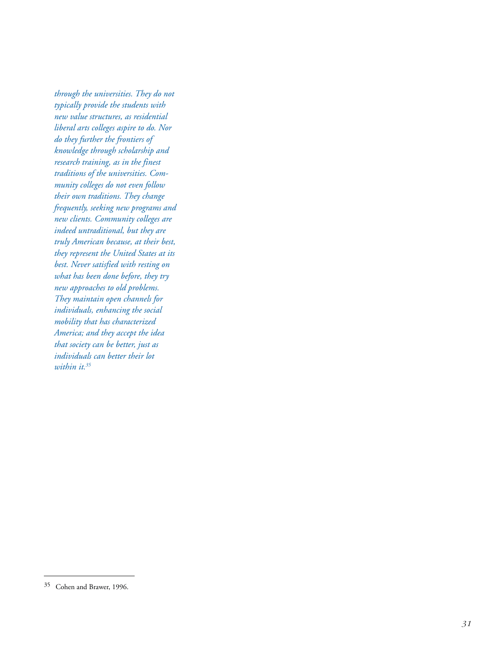*through the universities. They do not typically provide the students with new value structures, as residential liberal arts colleges aspire to do. Nor do they further the frontiers of knowledge through scholarship and research training, as in the finest traditions of the universities. Community colleges do not even follow their own traditions. They change frequently, seeking new programs and new clients. Community colleges are indeed untraditional, but they are truly American because, at their best, they represent the United States at its best. Never satisfied with resting on what has been done before, they try new approaches to old problems. They maintain open channels for individuals, enhancing the social mobility that has characterized America; and they accept the idea that society can be better, just as individuals can better their lot within it.35*

<sup>35</sup> Cohen and Brawer, 1996.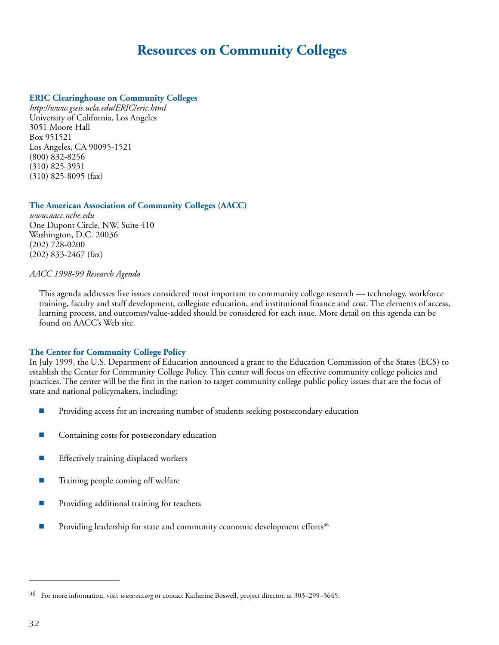## **Resources on Community Colleges**

### **ERIC Clearinghouse on Community Colleges**

*http://www.gseis.ucla.edu/ERIC/eric.html* University of California, Los Angeles 3051 Moore Hall Box 951521 Los Angeles, CA 90095-1521 (800) 832-8256 (310) 825-3931 (310) 825-8095 (fax)

### **The American Association of Community Colleges (AACC)**

*www.aacc.nche.edu* One Dupont Circle, NW, Suite 410 Washington, D.C. 20036 (202) 728-0200 (202) 833-2467 (fax)

### *AACC 1998-99 Research Agenda*

This agenda addresses five issues considered most important to community college research — technology, workforce training, faculty and staff development, collegiate education, and institutional finance and cost. The elements of access, learning process, and outcomes/value-added should be considered for each issue. More detail on this agenda can be found on AACC's Web site.

### **The Center for Community College Policy**

In July 1999, the U.S. Department of Education announced a grant to the Education Commission of the States (ECS) to establish the Center for Community College Policy. This center will focus on effective community college policies and practices. The center will be the first in the nation to target community college public policy issues that are the focus of state and national policymakers, including:

- **Providing access for an increasing number of students seeking postsecondary education**
- Containing costs for postsecondary education
- Effectively training displaced workers
- $\blacksquare$  Training people coming off welfare
- Providing additional training for teachers
- Providing leadership for state and community economic development efforts<sup>36</sup>

<sup>36</sup> For more information, visit *www.ecs.org* or contact Katherine Boswell, project director, at 303–299–3645.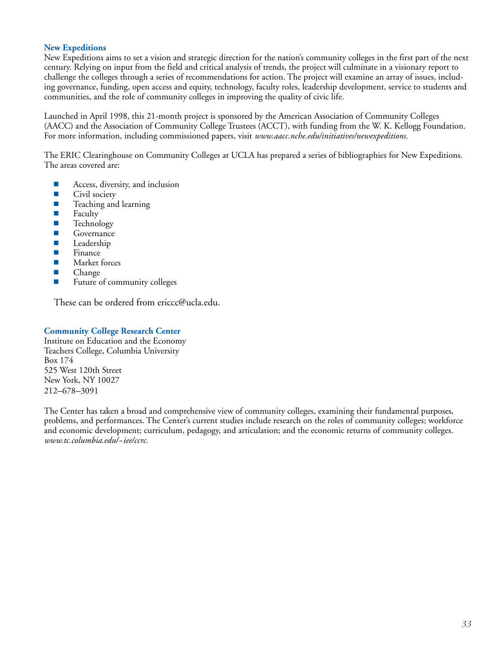### **New Expeditions**

New Expeditions aims to set a vision and strategic direction for the nation's community colleges in the first part of the next century. Relying on input from the field and critical analysis of trends, the project will culminate in a visionary report to challenge the colleges through a series of recommendations for action. The project will examine an array of issues, including governance, funding, open access and equity, technology, faculty roles, leadership development, service to students and communities, and the role of community colleges in improving the quality of civic life.

Launched in April 1998, this 21-month project is sponsored by the American Association of Community Colleges (AACC) and the Association of Community College Trustees (ACCT), with funding from the W. K. Kellogg Foundation. For more information, including commissioned papers, visit *www.aacc.nche.edu/initiatives/newexpeditions.*

The ERIC Clearinghouse on Community Colleges at UCLA has prepared a series of bibliographies for New Expeditions. The areas covered are:

- Access, diversity, and inclusion
- **Civil society**
- **T** Teaching and learning
- $\blacksquare$  Faculty
- **Technology**
- **Governance**
- **Leadership**
- $\blacksquare$  Finance
- **Market forces**
- Change
- **Future of community colleges**

These can be ordered from ericcc@ucla.edu.

### **Community College Research Center**

Institute on Education and the Economy Teachers College, Columbia University Box 174 525 West 120th Street New York, NY 10027 212–678–3091

The Center has taken a broad and comprehensive view of community colleges, examining their fundamental purposes, problems, and performances. The Center's current studies include research on the roles of community colleges; workforce and economic development; curriculum, pedagogy, and articulation; and the economic returns of community colleges. *www.tc.columbia.edu/~iee/ccrc.*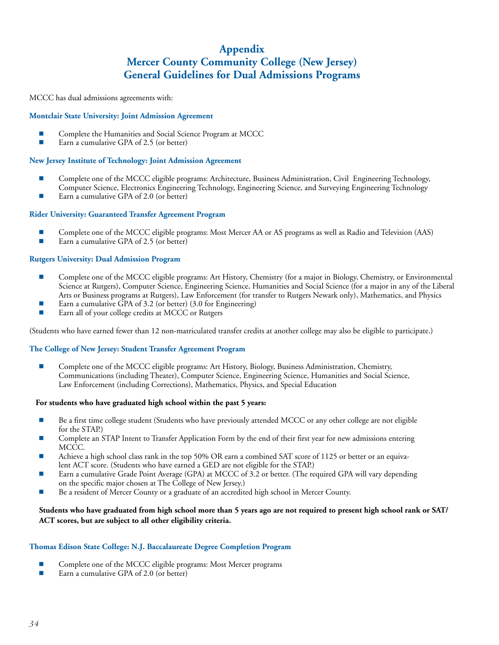### **Appendix Mercer County Community College (New Jersey) General Guidelines for Dual Admissions Programs**

MCCC has dual admissions agreements with:

### **Montclair State University: Joint Admission Agreement**

- Complete the Humanities and Social Science Program at MCCC
- Earn a cumulative GPA of 2.5 (or better)

### **New Jersey Institute of Technology: Joint Admission Agreement**

- **EXECOMPLETE ONE ONE OR THE MCCC** eligible programs: Architecture, Business Administration, Civil Engineering Technology, Computer Science, Electronics Engineering Technology, Engineering Science, and Surveying Engineering Technology
- Earn a cumulative GPA of 2.0 (or better)

### **Rider University: Guaranteed Transfer Agreement Program**

- Complete one of the MCCC eligible programs: Most Mercer AA or AS programs as well as Radio and Television (AAS)
- Earn a cumulative GPA of 2.5 (or better)

### **Rutgers University: Dual Admission Program**

- **Complete one of the MCCC eligible programs: Art History, Chemistry (for a major in Biology, Chemistry, or Environmental** Science at Rutgers), Computer Science, Engineering Science, Humanities and Social Science (for a major in any of the Liberal Arts or Business programs at Rutgers), Law Enforcement (for transfer to Rutgers Newark only), Mathematics, and Physics
- Earn a cumulative GPA of 3.2 (or better) (3.0 for Engineering)
- Earn all of your college credits at MCCC or Rutgers

(Students who have earned fewer than 12 non-matriculated transfer credits at another college may also be eligible to participate.)

### **The College of New Jersey: Student Transfer Agreement Program**

 Complete one of the MCCC eligible programs: Art History, Biology, Business Administration, Chemistry, Communications (including Theater), Computer Science, Engineering Science, Humanities and Social Science, Law Enforcement (including Corrections), Mathematics, Physics, and Special Education

### **For students who have graduated high school within the past 5 years:**

- Be a first time college student (Students who have previously attended MCCC or any other college are not eligible for the STAP.)
- Complete an STAP Intent to Transfer Application Form by the end of their first year for new admissions entering MCCC.
- Achieve a high school class rank in the top 50% OR earn a combined SAT score of 1125 or better or an equivalent ACT score. (Students who have earned a GED are not eligible for the STAP.)
- Earn a cumulative Grade Point Average (GPA) at MCCC of 3.2 or better. (The required GPA will vary depending on the specific major chosen at The College of New Jersey.)
- Be a resident of Mercer County or a graduate of an accredited high school in Mercer County.

### **Students who have graduated from high school more than 5 years ago are not required to present high school rank or SAT/ ACT scores, but are subject to all other eligibility criteria.**

### **Thomas Edison State College: N.J. Baccalaureate Degree Completion Program**

- Complete one of the MCCC eligible programs: Most Mercer programs<br>Farn a cumulative GPA of 2.0 (or better)
- Earn a cumulative GPA of 2.0 (or better)